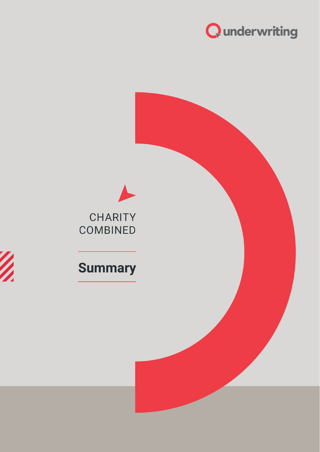



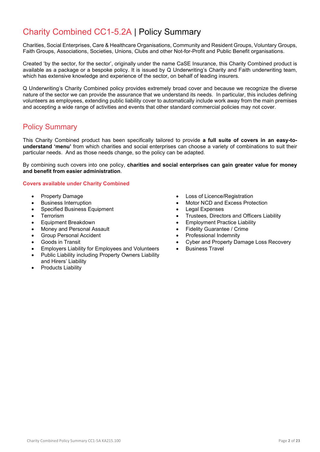# Charity Combined CC1-5.2A | Policy Summary

Charities, Social Enterprises, Care & Healthcare Organisations, Community and Resident Groups, Voluntary Groups, Faith Groups, Associations, Societies, Unions, Clubs and other Not-for-Profit and Public Benefit organisations.

Created 'by the sector, for the sector', originally under the name CaSE Insurance, this Charity Combined product is available as a package or a bespoke policy. It is issued by Q Underwriting's Charity and Faith underwriting team, which has extensive knowledge and experience of the sector, on behalf of leading insurers.

Q Underwriting's Charity Combined policy provides extremely broad cover and because we recognize the diverse nature of the sector we can provide the assurance that we understand its needs. In particular, this includes defining volunteers as employees, extending public liability cover to automatically include work away from the main premises and accepting a wide range of activities and events that other standard commercial policies may not cover.

# Policy Summary

This Charity Combined product has been specifically tailored to provide **a full suite of covers in an easy-tounderstand 'menu'** from which charities and social enterprises can choose a variety of combinations to suit their particular needs. And as those needs change, so the policy can be adapted.

By combining such covers into one policy, **charities and social enterprises can gain greater value for money and benefit from easier administration**.

## **Covers available under Charity Combined**

- Property Damage
- Business Interruption
- Specified Business Equipment
- Terrorism
- Equipment Breakdown
- Money and Personal Assault
- Group Personal Accident
- Goods in Transit
- Employers Liability for Employees and Volunteers
- Public Liability including Property Owners Liability and Hirers' Liability
- **Products Liability**
- Loss of Licence/Registration
- Motor NCD and Excess Protection
- **Legal Expenses**
- Trustees, Directors and Officers Liability
- Employment Practice Liability
- Fidelity Guarantee / Crime
- Professional Indemnity
- Cyber and Property Damage Loss Recovery
- **Business Travel**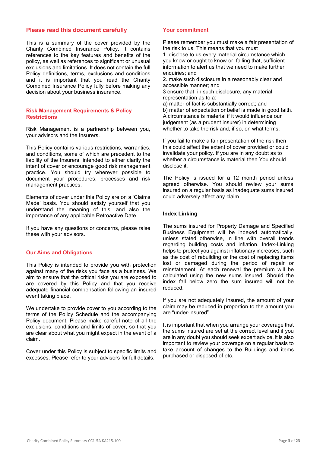## **Please read this document carefully**

This is a summary of the cover provided by the Charity Combined Insurance Policy. It contains references to the key features and benefits of the policy, as well as references to significant or unusual exclusions and limitations. It does not contain the full Policy definitions, terms, exclusions and conditions and it is important that you read the Charity Combined Insurance Policy fully before making any decision about your business insurance.

### **Risk Management Requirements & Policy Restrictions**

Risk Management is a partnership between you, your advisors and the Insurers.

This Policy contains various restrictions, warranties, and conditions, some of which are precedent to the liability of the Insurers, intended to either clarify the intent of cover or encourage good risk management practice. You should try wherever possible to document your procedures, processes and risk management practices.

Elements of cover under this Policy are on a 'Claims Made' basis. You should satisfy yourself that you understand the meaning of this, and also the importance of any applicable Retroactive Date.

If you have any questions or concerns, please raise these with your advisors.

### **Our Aims and Obligations**

This Policy is intended to provide you with protection against many of the risks you face as a business. We aim to ensure that the critical risks you are exposed to are covered by this Policy and that you receive adequate financial compensation following an insured event taking place.

We undertake to provide cover to you according to the terms of the Policy Schedule and the accompanying Policy document. Please make careful note of all the exclusions, conditions and limits of cover, so that you are clear about what you might expect in the event of a claim.

Cover under this Policy is subject to specific limits and excesses. Please refer to your advisors for full details.

#### **Your commitment**

Please remember you must make a fair presentation of the risk to us. This means that you must

1. disclose to us every material circumstance which you know or ought to know or, failing that, sufficient information to alert us that we need to make further enquiries; and

2. make such disclosure in a reasonably clear and accessible manner; and

3 ensure that, in such disclosure, any material representation as to a:

a) matter of fact is substantially correct; and b) matter of expectation or belief is made in good faith. A circumstance is material if it would influence our judgement (as a prudent insurer) in determining whether to take the risk and, if so, on what terms.

If you fail to make a fair presentation of the risk then this could affect the extent of cover provided or could invalidate your policy. If you are in any doubt as to whether a circumstance is material then You should disclose it.

The Policy is issued for a 12 month period unless agreed otherwise. You should review your sums insured on a regular basis as inadequate sums insured could adversely affect any claim.

### **Index Linking**

The sums insured for Property Damage and Specified Business Equipment will be indexed automatically, unless stated otherwise, in line with overall trends regarding building costs and inflation. Index-Linking helps to protect you against inflationary increases, such as the cost of rebuilding or the cost of replacing items lost or damaged during the period of repair or reinstatement. At each renewal the premium will be calculated using the new sums insured. Should the index fall below zero the sum insured will not be reduced.

If you are not adequately insured, the amount of your claim may be reduced in proportion to the amount you are "under-insured".

It is important that when you arrange your coverage that the sums insured are set at the correct level and if you are in any doubt you should seek expert advice, it is also important to review your coverage on a regular basis to take account of changes to the Buildings and items purchased or disposed of etc.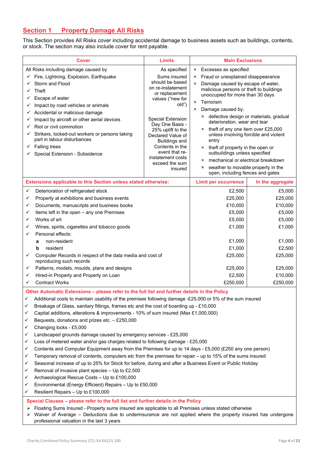# **Section 1 Property Damage All Risks**

This Section provides All Risks cover including accidental damage to business assets such as buildings, contents, or stock. The section may also include cover for rent payable.

| <b>Cover</b>                                                                                                                                                                                                                                                                                                                                                                                                                                                                                                                                                                                                                                                                                                                                                                                                                                                                                                                                                                                                                                                                                                                                                                                                                                                                                                                       | <b>Limits</b>                                                                                                                                                                                                                                                                                 | <b>Main Exclusions</b>                                                                                                                                                                                                                                                                                                                                                                                                                                                                                                                                                                                                                                                                         |                                                                                                                 |
|------------------------------------------------------------------------------------------------------------------------------------------------------------------------------------------------------------------------------------------------------------------------------------------------------------------------------------------------------------------------------------------------------------------------------------------------------------------------------------------------------------------------------------------------------------------------------------------------------------------------------------------------------------------------------------------------------------------------------------------------------------------------------------------------------------------------------------------------------------------------------------------------------------------------------------------------------------------------------------------------------------------------------------------------------------------------------------------------------------------------------------------------------------------------------------------------------------------------------------------------------------------------------------------------------------------------------------|-----------------------------------------------------------------------------------------------------------------------------------------------------------------------------------------------------------------------------------------------------------------------------------------------|------------------------------------------------------------------------------------------------------------------------------------------------------------------------------------------------------------------------------------------------------------------------------------------------------------------------------------------------------------------------------------------------------------------------------------------------------------------------------------------------------------------------------------------------------------------------------------------------------------------------------------------------------------------------------------------------|-----------------------------------------------------------------------------------------------------------------|
| All Risks including damage caused by                                                                                                                                                                                                                                                                                                                                                                                                                                                                                                                                                                                                                                                                                                                                                                                                                                                                                                                                                                                                                                                                                                                                                                                                                                                                                               | As specified                                                                                                                                                                                                                                                                                  | Excesses as specified<br>$\mathsf{x}$                                                                                                                                                                                                                                                                                                                                                                                                                                                                                                                                                                                                                                                          |                                                                                                                 |
| Fire, Lightning, Explosion, Earthquake<br>$\checkmark$<br>Storm and Flood<br>Theft<br>Escape of water<br>Impact by road vehicles or animals<br>✓<br>Accidental or malicious damage<br>✓<br>Impact by aircraft or other aerial devices<br>✓<br>Riot or civil commotion<br>✓<br>Strikers, locked-out workers or persons taking<br>✓<br>part in labour disturbances<br>$\checkmark$ Falling trees<br>← Special Extension - Subsidence                                                                                                                                                                                                                                                                                                                                                                                                                                                                                                                                                                                                                                                                                                                                                                                                                                                                                                 | Sums insured<br>should be based<br>on re-instatement<br>or replacement<br>values ("new for<br>old")<br>Special Extension<br>Day One Basis -<br>25% uplift to the<br>Declared Value of<br>Buildings and<br>Contents in the<br>event that re-<br>instatement costs<br>exceed the sum<br>insured | Fraud or unexplained disappearance<br>×<br>Damage caused by escape of water,<br>$\boldsymbol{\mathsf{x}}$<br>malicious persons or theft to buildings<br>unoccupied for more than 30 days<br>Terrorism<br>$\boldsymbol{\mathsf{x}}$<br>Damage caused by:<br>$\boldsymbol{\mathsf{x}}$<br>x defective design or materials, gradual<br>deterioration, wear and tear<br>theft of any one item over £25,000<br>$\mathsf{x}$<br>unless involving forcible and violent<br>entry<br>x theft of property in the open or<br>outbuildings unless specified<br>mechanical or electrical breakdown<br>$\boldsymbol{\mathsf{x}}$<br>x weather to movable property in the<br>open, including fences and gates |                                                                                                                 |
| Extensions applicable to this Section unless stated otherwise:                                                                                                                                                                                                                                                                                                                                                                                                                                                                                                                                                                                                                                                                                                                                                                                                                                                                                                                                                                                                                                                                                                                                                                                                                                                                     |                                                                                                                                                                                                                                                                                               | <b>Limit per occurrence</b>                                                                                                                                                                                                                                                                                                                                                                                                                                                                                                                                                                                                                                                                    | In the aggregate                                                                                                |
| ✓<br>Deterioration of refrigerated stock<br>Property at exhibitions and business events<br>✓<br>Documents, manuscripts and business books<br>✓<br>Items left in the open - any one Premises<br>✓<br>Works of art<br>✓<br>Wines, spirits, cigarettes and tobacco goods<br>✓<br>Personal effects:<br>✓<br>non-resident<br>a<br>resident<br>b<br>Computer Records in respect of the data media and cost of<br>✓<br>reproducing such records<br>✓<br>Patterns, models, moulds, plans and designs                                                                                                                                                                                                                                                                                                                                                                                                                                                                                                                                                                                                                                                                                                                                                                                                                                       |                                                                                                                                                                                                                                                                                               | £2,500<br>£25,000<br>£10,000<br>£5,000<br>£5,000<br>£1,000<br>£1,000<br>£1,000<br>£25,000<br>£25,000<br>£2,500                                                                                                                                                                                                                                                                                                                                                                                                                                                                                                                                                                                 | £5,000<br>£25,000<br>£10,000<br>£5,000<br>£5,000<br>£1,000<br>£1,000<br>£2,500<br>£25,000<br>£25,000<br>£10,000 |
| Hired-in Property and Property on Loan<br>✓<br><b>Contract Works</b><br>✓                                                                                                                                                                                                                                                                                                                                                                                                                                                                                                                                                                                                                                                                                                                                                                                                                                                                                                                                                                                                                                                                                                                                                                                                                                                          |                                                                                                                                                                                                                                                                                               | £250,000                                                                                                                                                                                                                                                                                                                                                                                                                                                                                                                                                                                                                                                                                       | £250,000                                                                                                        |
| Other Automatic Extensions - please refer to the full list and further details in the Policy<br>Additional costs to maintain usability of the premises following damage -£25,000 or 5% of the sum insured<br>✓<br>Breakage of Glass, sanitary fittings, frames etc and the cost of boarding up - £10,000<br>✓<br>Capital additions, alterations & improvements - 10% of sum insured (Max £1,000,000)<br>✓<br>Bequests, donations and prizes etc. - £250,000<br>✓<br>Changing locks - £5,000<br>✓<br>Landscaped grounds damage caused by emergency services - £25,000<br>✓<br>Loss of metered water and/or gas charges related to following damage - £25,000<br>✓<br>Contents and Computer Equipment away from the Premises for up to 14 days - £5,000 (£250 any one person)<br>✓<br>Temporary removal of contents, computers etc from the premises for repair - up to 15% of the sums insured<br>✓<br>Seasonal increase of up to 25% for Stock for before, during and after a Business Event or Public Holiday<br>✓<br>Removal of invasive plant species - Up to £2,500<br>✓<br>Archaeological Rescue Costs - Up to £100,000<br>✓<br>Environmental (Energy Efficient) Repairs - Up to £50,000<br>✓<br>Resilient Repairs - Up to £100,000<br>✓<br>Special Clauses - please refer to the full list and further details in the Policy |                                                                                                                                                                                                                                                                                               |                                                                                                                                                                                                                                                                                                                                                                                                                                                                                                                                                                                                                                                                                                |                                                                                                                 |
| Floating Sums Insured - Property sums insured are applicable to all Premises unless stated otherwise<br>Waiver of Average - Deductions due to underinsurance are not applied where the property insured has undergone<br>professional valuation in the last 3 years                                                                                                                                                                                                                                                                                                                                                                                                                                                                                                                                                                                                                                                                                                                                                                                                                                                                                                                                                                                                                                                                |                                                                                                                                                                                                                                                                                               |                                                                                                                                                                                                                                                                                                                                                                                                                                                                                                                                                                                                                                                                                                |                                                                                                                 |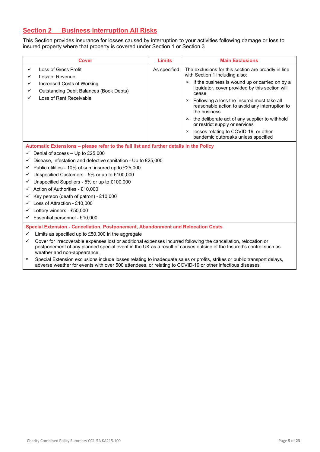# **Section 2 Business Interruption All Risks**

This Section provides insurance for losses caused by interruption to your activities following damage or loss to insured property where that property is covered under Section 1 or Section 3

|        | <b>Cover</b>                                                                                            | <b>Limits</b>                                                                    | <b>Main Exclusions</b>                                                                                                                                                                                                     |
|--------|---------------------------------------------------------------------------------------------------------|----------------------------------------------------------------------------------|----------------------------------------------------------------------------------------------------------------------------------------------------------------------------------------------------------------------------|
| ✓      | Loss of Gross Profit<br>Loss of Revenue                                                                 | As specified                                                                     | The exclusions for this section are broadly in line<br>with Section 1 including also:                                                                                                                                      |
| ✓<br>✓ | Increased Costs of Working<br><b>Outstanding Debit Balances (Book Debts)</b><br>Loss of Rent Receivable |                                                                                  | If the business is wound up or carried on by a<br>liquidator, cover provided by this section will<br>cease<br>Following a loss the Insured must take all<br>reasonable action to avoid any interruption to<br>the business |
|        |                                                                                                         | the deliberate act of any supplier to withhold<br>or restrict supply or services |                                                                                                                                                                                                                            |
|        |                                                                                                         |                                                                                  | losses relating to COVID-19, or other<br>pandemic outbreaks unless specified                                                                                                                                               |

**Automatic Extensions – please refer to the full list and further details in the Policy** 

- $\checkmark$  Denial of access Up to £25,000
- $\checkmark$  Disease, infestation and defective sanitation Up to £25,000
- $\checkmark$  Public utilities 10% of sum insured up to £25,000
- $\checkmark$  Unspecified Customers 5% or up to £100,000
- $\checkmark$  Unspecified Suppliers 5% or up to £100,000
- $\checkmark$  Action of Authorities £10,000
- $\checkmark$  Key person (death of patron) £10,000
- $\checkmark$  Loss of Attraction £10,000
- $\checkmark$  Lottery winners £50,000
- $\checkmark$  Essential personnel £10,000

**Special Extension - Cancellation, Postponement, Abandonment and Relocation Costs**

 $\checkmark$  Limits as specified up to £50,000 in the aggregate

 Cover for irrecoverable expenses lost or additional expenses incurred following the cancellation, relocation or postponement of any planned special event in the UK as a result of causes outside of the Insured's control such as weather and non-appearance.

 Special Extension exclusions include losses relating to inadequate sales or profits, strikes or public transport delays, adverse weather for events with over 500 attendees, or relating to COVID-19 or other infectious diseases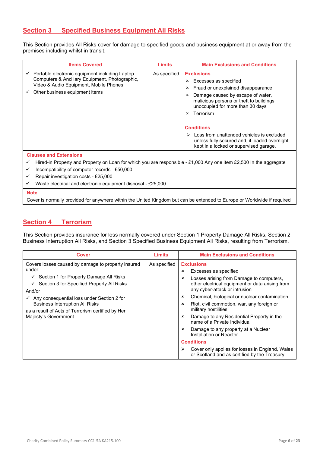## **Section 3 Specified Business Equipment All Risks**

This Section provides All Risks cover for damage to specified goods and business equipment at or away from the premises including whilst in transit.

| <b>Items Covered</b>                                                                                                                                                                           | Limits       | <b>Main Exclusions and Conditions</b>                                                                                                                                                                                                                                                                                                                                                                                       |
|------------------------------------------------------------------------------------------------------------------------------------------------------------------------------------------------|--------------|-----------------------------------------------------------------------------------------------------------------------------------------------------------------------------------------------------------------------------------------------------------------------------------------------------------------------------------------------------------------------------------------------------------------------------|
| $\checkmark$ Portable electronic equipment including Laptop<br>Computers & Ancillary Equipment, Photographic,<br>Video & Audio Equipment, Mobile Phones<br>Other business equipment items<br>✓ | As specified | <b>Exclusions</b><br>Excesses as specified<br>×<br>Fraud or unexplained disappearance<br>×<br>Damage caused by escape of water,<br>malicious persons or theft to buildings<br>unoccupied for more than 30 days<br>Terrorism<br>$\boldsymbol{\mathsf{x}}$<br><b>Conditions</b><br>Loss from unattended vehicles is excluded<br>↘<br>unless fully secured and, if loaded overnight,<br>kept in a locked or supervised garage. |

#### **Clauses and Extensions**

- $\checkmark$  Hired-in Property and Property on Loan for which you are responsible £1,000 Any one item £2,500 In the aggregate
- $\checkmark$  Incompatibility of computer records £50,000
- Repair investigation costs £25,000
- $\checkmark$  Waste electrical and electronic equipment disposal £25,000

### **Note**

Cover is normally provided for anywhere within the United Kingdom but can be extended to Europe or Worldwide if required

## **Section 4 Terrorism**

This Section provides insurance for loss normally covered under Section 1 Property Damage All Risks, Section 2 Business Interruption All Risks, and Section 3 Specified Business Equipment All Risks, resulting from Terrorism.

| Cover                                                                                                                                                                                                                                                                                                                                                                | <b>Limits</b> | <b>Main Exclusions and Conditions</b>                                                                                                                                                                                                                                                                                                                                                                                                                                                                                                                                                                                                                                                                                          |
|----------------------------------------------------------------------------------------------------------------------------------------------------------------------------------------------------------------------------------------------------------------------------------------------------------------------------------------------------------------------|---------------|--------------------------------------------------------------------------------------------------------------------------------------------------------------------------------------------------------------------------------------------------------------------------------------------------------------------------------------------------------------------------------------------------------------------------------------------------------------------------------------------------------------------------------------------------------------------------------------------------------------------------------------------------------------------------------------------------------------------------------|
| Covers losses caused by damage to property insured<br>under:<br>Section 1 for Property Damage All Risks<br>$\checkmark$<br>Section 3 for Specified Property All Risks<br>$\checkmark$<br>And/or<br>Any consequential loss under Section 2 for<br><b>Business Interruption All Risks</b><br>as a result of Acts of Terrorism certified by Her<br>Majesty's Government | As specified  | <b>Exclusions</b><br>Excesses as specified<br>×<br>Losses arising from Damage to computers,<br>$\boldsymbol{\mathsf{x}}$<br>other electrical equipment or data arising from<br>any cyber-attack or intrusion<br>Chemical, biological or nuclear contamination<br>$\boldsymbol{\mathsf{x}}$<br>Riot, civil commotion, war, any foreign or<br>$\boldsymbol{\mathsf{x}}$<br>military hostilities<br>Damage to any Residential Property in the<br>$\boldsymbol{\mathsf{x}}$<br>name of a Private Individual<br>Damage to any property at a Nuclear<br>$\boldsymbol{\mathsf{x}}$<br>Installation or Reactor<br><b>Conditions</b><br>Cover only applies for losses in England, Wales<br>or Scotland and as certified by the Treasury |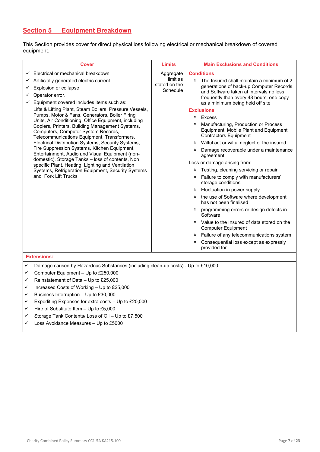# **Section 5 Equipment Breakdown**

This Section provides cover for direct physical loss following electrical or mechanical breakdown of covered equipment.

|                                                  | <b>Cover</b>                                                                                                                                                                                                                                                                                                                                                                                                                                                                                                                                                                                                                                               | <b>Limits</b>                                      | <b>Main Exclusions and Conditions</b>                                                                                                                                                                                                                                                                                                                                                                                                                                                                                                                                                                                                                                                                                                                                                                                                                            |                                                                                                                                                                                                                                                      |
|--------------------------------------------------|------------------------------------------------------------------------------------------------------------------------------------------------------------------------------------------------------------------------------------------------------------------------------------------------------------------------------------------------------------------------------------------------------------------------------------------------------------------------------------------------------------------------------------------------------------------------------------------------------------------------------------------------------------|----------------------------------------------------|------------------------------------------------------------------------------------------------------------------------------------------------------------------------------------------------------------------------------------------------------------------------------------------------------------------------------------------------------------------------------------------------------------------------------------------------------------------------------------------------------------------------------------------------------------------------------------------------------------------------------------------------------------------------------------------------------------------------------------------------------------------------------------------------------------------------------------------------------------------|------------------------------------------------------------------------------------------------------------------------------------------------------------------------------------------------------------------------------------------------------|
| ✓<br>✓<br>✓<br>✓                                 | Electrical or mechanical breakdown<br>Artificially generated electric current<br>Explosion or collapse<br>Operator error.<br>Equipment covered includes items such as:                                                                                                                                                                                                                                                                                                                                                                                                                                                                                     | Aggregate<br>limit as<br>stated on the<br>Schedule |                                                                                                                                                                                                                                                                                                                                                                                                                                                                                                                                                                                                                                                                                                                                                                                                                                                                  | <b>Conditions</b><br>The Insured shall maintain a minimum of 2<br>$\mathsf{x}$<br>generations of back-up Computer Records<br>and Software taken at intervals no less<br>frequently than every 48 hours, one copy<br>as a minimum being held off site |
|                                                  | Lifts & Lifting Plant, Steam Boilers, Pressure Vessels,<br>Pumps, Motor & Fans, Generators, Boiler Firing<br>Units, Air Conditioning, Office Equipment, including<br>Copiers, Printers, Building Management Systems,<br>Computers, Computer System Records,<br>Telecommunications Equipment, Transformers,<br>Electrical Distribution Systems, Security Systems,<br>Fire Suppression Systems, Kitchen Equipment,<br>Entertainment, Audio and Visual Equipment (non-<br>domestic), Storage Tanks - loss of contents, Non<br>specific Plant, Heating, Lighting and Ventilation<br>Systems, Refrigeration Equipment, Security Systems<br>and Fork Lift Trucks |                                                    | <b>Exclusions</b><br><b>x</b> Excess<br>Manufacturing, Production or Process<br>$\boldsymbol{\mathsf{x}}$<br>Equipment, Mobile Plant and Equipment,<br><b>Contractors Equipment</b><br>Wilful act or wilful neglect of the insured.<br>$\mathsf{x}$<br>Damage recoverable under a maintenance<br>×<br>agreement<br>Loss or damage arising from:<br>Testing, cleaning servicing or repair<br>$\boldsymbol{\mathsf{x}}$<br>x Failure to comply with manufacturers'<br>storage conditions<br><b>x</b> Fluctuation in power supply<br>x the use of Software where development<br>has not been finalised<br>programming errors or design defects in<br>×<br>Software<br>x Value to the Insured of data stored on the<br><b>Computer Equipment</b><br><b>x</b> Failure of any telecommunications system<br>Consequential loss except as expressly<br>×<br>provided for |                                                                                                                                                                                                                                                      |
|                                                  | <b>Extensions:</b>                                                                                                                                                                                                                                                                                                                                                                                                                                                                                                                                                                                                                                         |                                                    |                                                                                                                                                                                                                                                                                                                                                                                                                                                                                                                                                                                                                                                                                                                                                                                                                                                                  |                                                                                                                                                                                                                                                      |
| ✓<br>✓<br>$\checkmark$<br>$\checkmark$<br>✓<br>✓ | Damage caused by Hazardous Substances (including clean-up costs) - Up to £10,000<br>Computer Equipment - Up to £250,000<br>Reinstatement of Data - Up to £25,000<br>Increased Costs of Working - Up to £25,000<br>Business Interruption - Up to £30,000<br>Expediting Expenses for extra costs - Up to £20,000                                                                                                                                                                                                                                                                                                                                             |                                                    |                                                                                                                                                                                                                                                                                                                                                                                                                                                                                                                                                                                                                                                                                                                                                                                                                                                                  |                                                                                                                                                                                                                                                      |

- $\checkmark$  Hire of Substitute Item Up to £5,000
- $\checkmark$  Storage Tank Contents/ Loss of Oil Up to £7,500
- $\checkmark$  Loss Avoidance Measures Up to £5000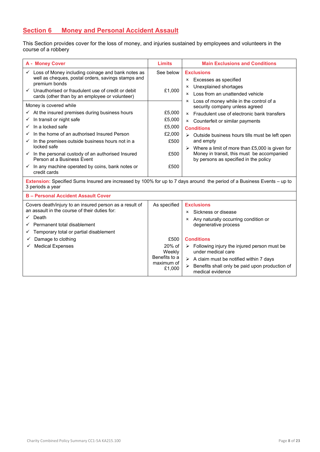# **Section 6 Money and Personal Accident Assault**

This Section provides cover for the loss of money, and injuries sustained by employees and volunteers in the course of a robbery

| <b>A</b> - Money Cover                                                                                                                                                                                                                                                                                                                                                                                                                   | Limits                                                       | <b>Main Exclusions and Conditions</b>                                                                                                                                                                                                                                                                                                                                                                                                                   |
|------------------------------------------------------------------------------------------------------------------------------------------------------------------------------------------------------------------------------------------------------------------------------------------------------------------------------------------------------------------------------------------------------------------------------------------|--------------------------------------------------------------|---------------------------------------------------------------------------------------------------------------------------------------------------------------------------------------------------------------------------------------------------------------------------------------------------------------------------------------------------------------------------------------------------------------------------------------------------------|
| Loss of Money including coinage and bank notes as<br>$\checkmark$<br>well as cheques, postal orders, savings stamps and<br>premium bonds<br>Unauthorised or fraudulent use of credit or debit<br>$\checkmark$<br>cards (other than by an employee or volunteer)                                                                                                                                                                          | See below<br>£1,000                                          | <b>Exclusions</b><br>Excesses as specified<br>x<br>Unexplained shortages<br>×<br>Loss from an unattended vehicle<br>$\mathsf{x}$                                                                                                                                                                                                                                                                                                                        |
| Money is covered while<br>$\checkmark$ At the insured premises during business hours<br>In transit or night safe<br>✓<br>In a locked safe<br>✓<br>In the home of an authorised Insured Person<br>✓<br>In the premises outside business hours not in a<br>✓<br>locked safe<br>In the personal custody of an authorised Insured<br>✓<br>Person at a Business Event<br>In any machine operated by coins, bank notes or<br>✓<br>credit cards | £5,000<br>£5,000<br>£5,000<br>£2,000<br>£500<br>£500<br>£500 | Loss of money while in the control of a<br>x<br>security company unless agreed<br>Fraudulent use of electronic bank transfers<br>$\times$<br>Counterfeit or similar payments<br>$\boldsymbol{\mathsf{x}}$<br><b>Conditions</b><br>$\triangleright$ Outside business hours tills must be left open<br>and empty<br>Where a limit of more than £5,000 is given for<br>Money in transit, this must be accompanied<br>by persons as specified in the policy |
| Extension: Specified Sums Insured are increased by 100% for up to 7 days around the period of a Business Events – up to<br>3 periods a year                                                                                                                                                                                                                                                                                              |                                                              |                                                                                                                                                                                                                                                                                                                                                                                                                                                         |
| <b>B-Personal Accident Assault Cover</b>                                                                                                                                                                                                                                                                                                                                                                                                 |                                                              |                                                                                                                                                                                                                                                                                                                                                                                                                                                         |
| Covers death/injury to an insured person as a result of<br>an assault in the course of their duties for:<br>$\checkmark$ Death<br>$\checkmark$ Permanent total disablement<br>$\checkmark$ Temporary total or partial disablement                                                                                                                                                                                                        | As specified                                                 | <b>Exclusions</b><br>Sickness or disease<br>×<br>Any naturally occurring condition or<br>x<br>degenerative process                                                                                                                                                                                                                                                                                                                                      |
| Damage to clothing                                                                                                                                                                                                                                                                                                                                                                                                                       | £500                                                         | <b>Conditions</b>                                                                                                                                                                                                                                                                                                                                                                                                                                       |
| <b>Medical Expenses</b><br>$\checkmark$                                                                                                                                                                                                                                                                                                                                                                                                  | 20% of                                                       | $\triangleright$ Following injury the injured person must be                                                                                                                                                                                                                                                                                                                                                                                            |

Weekly Benefits to a maximum of £1,000 under medical care  $\triangleright$  A claim must be notified within 7 days  $\triangleright$  Benefits shall only be paid upon production of medical evidence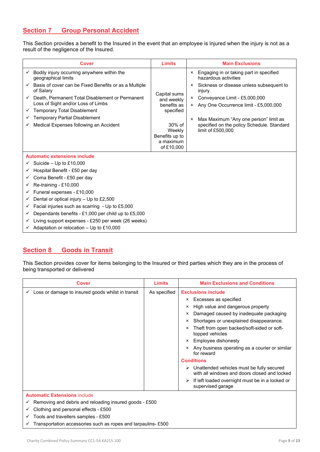# **Section 7 Group Personal Accident**

This Section provides a benefit to the Insured in the event that an employee is injured when the injury is not as a result of the negligence of the Insured.

| <b>Cover</b>                                                       | <b>Limits</b>                                                 | <b>Main Exclusions</b>                                               |
|--------------------------------------------------------------------|---------------------------------------------------------------|----------------------------------------------------------------------|
| Bodily injury occurring anywhere within the<br>geographical limits |                                                               | Engaging in or taking part in specified<br>×<br>hazardous activities |
| Basis of cover can be Fixed Benefits or as a Multiple<br>of Salary | Capital sums                                                  | Sickness or disease unless subsequent to<br>×<br>injury              |
| Death, Permanent Total Disablement or Permanent                    | and weekly                                                    | Conveyance Limit - £5,000,000<br>x                                   |
| Loss of Sight and/or Loss of Limbs                                 | benefits as                                                   | Any One Occurrence limit - £5,000,000<br>x                           |
| <b>Temporary Total Disablement</b><br>v.                           | specified                                                     |                                                                      |
| <b>Temporary Partial Disablement</b>                               |                                                               | Max Maximum "Any one person" limit as<br>×                           |
| Medical Expenses following an Accident                             | 30% of<br>Weekly<br>Benefits up to<br>a maximum<br>of £10,000 | specified on the policy Schedule. Standard<br>limit of £500,000      |
| <b>Automatic extensions include</b>                                |                                                               |                                                                      |
| Suicide $-$ Up to £10,000<br>✓                                     |                                                               |                                                                      |
| Hospital Benefit - £50 per day<br>✓                                |                                                               |                                                                      |
| Coma Benefit - £50 per day<br>✓                                    |                                                               |                                                                      |
| Re-training - £10,000                                              |                                                               |                                                                      |

- $\checkmark$  Funeral expenses £10,000
- $\checkmark$  Dental or optical injury Up to £2,500
- $\checkmark$  Facial injuries such as scarring Up to £5,000
- $\checkmark$  Dependants benefits £1,000 per child up to £5,000
- $\checkmark$  Living support expenses £250 per week (26 weeks)
- $\checkmark$  Adaptation or relocation Up to £10,000

## **Section 8 Goods in Transit**

This Section provides cover for items belonging to the Insured or third parties which they are in the process of being transported or delivered

| <b>Cover</b>                                           | <b>Limits</b> | <b>Main Exclusions and Conditions</b>                                                          |
|--------------------------------------------------------|---------------|------------------------------------------------------------------------------------------------|
| Loss or damage to insured goods whilst in transit<br>✓ | As specified  | <b>Exclusions include</b>                                                                      |
|                                                        |               | Excesses as specified<br>$\boldsymbol{\mathsf{x}}$                                             |
|                                                        |               | High value and dangerous property<br>$\boldsymbol{\mathsf{x}}$                                 |
|                                                        |               | Damaged caused by inadequate packaging<br>$\boldsymbol{\mathsf{x}}$                            |
|                                                        |               | Shortages or unexplained disappearance.<br>$\mathsf{x}$                                        |
|                                                        |               | Theft from open backed/soft-sided or soft-<br>$\boldsymbol{\mathsf{x}}$<br>topped vehicles     |
|                                                        |               | Employee dishonesty<br>$\boldsymbol{\mathsf{x}}$                                               |
|                                                        |               | Any business operating as a courier or similar<br>for reward                                   |
|                                                        |               | <b>Conditions</b>                                                                              |
|                                                        |               | Unattended vehicles must be fully secured<br>➤<br>with all windows and doors closed and locked |
|                                                        |               | If left loaded overnight must be in a locked or<br>supervised garage                           |
| Antonio dia Futenziana indudu                          |               |                                                                                                |

**Automatic Extensions** include

- $\checkmark$  Removing and debris and reloading insured goods £500
- $\checkmark$  Clothing and personal effects £500
- $\checkmark$  Tools and travellers samples £500
- $\checkmark$  Transportation accessories such as ropes and tarpaulins- $£500$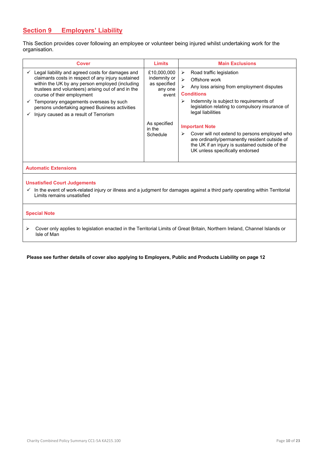# **Section 9 Employers' Liability**

This Section provides cover following an employee or volunteer being injured whilst undertaking work for the organisation.

| Cover                                                                                                                                                                                                                                                                                                                                                                               | <b>Limits</b>                                                   | <b>Main Exclusions</b>                                                                                                                                                                                                                                                 |
|-------------------------------------------------------------------------------------------------------------------------------------------------------------------------------------------------------------------------------------------------------------------------------------------------------------------------------------------------------------------------------------|-----------------------------------------------------------------|------------------------------------------------------------------------------------------------------------------------------------------------------------------------------------------------------------------------------------------------------------------------|
| Legal liability and agreed costs for damages and<br>claimants costs in respect of any injury sustained<br>within the UK by any person employed (including<br>trustees and volunteers) arising out of and in the<br>course of their employment<br>Temporary engagements overseas by such<br>persons undertaking agreed Business activities<br>Injury caused as a result of Terrorism | £10,000,000<br>indemnity or<br>as specified<br>any one<br>event | Road traffic legislation<br>➤<br>$\blacktriangleright$<br>Offshore work<br>Any loss arising from employment disputes<br>⋗<br><b>Conditions</b><br>Indemnity is subject to requirements of<br>➤<br>legislation relating to compulsory insurance of<br>legal liabilities |
|                                                                                                                                                                                                                                                                                                                                                                                     | As specified<br>in the<br>Schedule                              | <b>Important Note</b><br>Cover will not extend to persons employed who<br>➤<br>are ordinarily/permanently resident outside of<br>the UK if an injury is sustained outside of the<br>UK unless specifically endorsed                                                    |
| <b>Automatic Extensions</b>                                                                                                                                                                                                                                                                                                                                                         |                                                                 |                                                                                                                                                                                                                                                                        |
| <b>Unsatisfied Court Judgements</b><br>$\checkmark$ In the event of work-related injury or illness and a judgment for damages against a third party operating within Territorial<br>Limits remains unsatisfied<br><b>Special Note</b>                                                                                                                                               |                                                                 |                                                                                                                                                                                                                                                                        |

 Cover only applies to legislation enacted in the Territorial Limits of Great Britain, Northern Ireland, Channel Islands or Isle of Man

## **Please see further details of cover also applying to Employers, Public and Products Liability on page 12**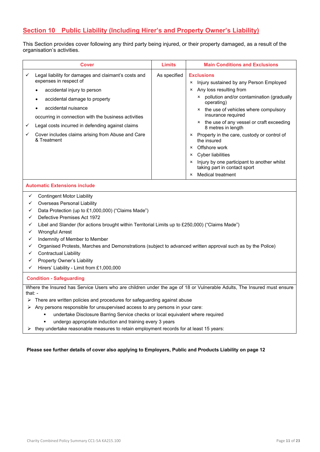# **Section 10 Public Liability (Including Hirer's and Property Owner's Liability)**

This Section provides cover following any third party being injured, or their property damaged, as a result of the organisation's activities.

|                                                                           | Cover                                                                                                                                                                                                                                                                                                                                                                                                                                                                                                                                                                        | <b>Limits</b> | <b>Main Conditions and Exclusions</b>                                                                                                                                                                                                                                                                                                                                                                                                                                                                                                                                                                    |  |  |
|---------------------------------------------------------------------------|------------------------------------------------------------------------------------------------------------------------------------------------------------------------------------------------------------------------------------------------------------------------------------------------------------------------------------------------------------------------------------------------------------------------------------------------------------------------------------------------------------------------------------------------------------------------------|---------------|----------------------------------------------------------------------------------------------------------------------------------------------------------------------------------------------------------------------------------------------------------------------------------------------------------------------------------------------------------------------------------------------------------------------------------------------------------------------------------------------------------------------------------------------------------------------------------------------------------|--|--|
| ✓<br>✓<br>✓                                                               | Legal liability for damages and claimant's costs and<br>expenses in respect of<br>accidental injury to person<br>accidental damage to property<br>accidental nuisance<br>occurring in connection with the business activities<br>Legal costs incurred in defending against claims<br>Cover includes claims arising from Abuse and Care<br>& Treatment                                                                                                                                                                                                                        | As specified  | <b>Exclusions</b><br>x Injury sustained by any Person Employed<br>x Any loss resulting from<br>× pollution and/or contamination (gradually<br>operating)<br>x the use of vehicles where compulsory<br>insurance required<br>x the use of any vessel or craft exceeding<br>8 metres in length<br>Property in the care, custody or control of<br>$\mathsf{x}$<br>the insured<br>Offshore work<br>$\mathsf{x}$<br><b>Cyber liabilities</b><br>$\mathsf{x}$<br>Injury by one participant to another whilst<br>$\mathsf{x}$<br>taking part in contact sport<br>Medical treatment<br>$\boldsymbol{\mathsf{x}}$ |  |  |
|                                                                           | <b>Automatic Extensions include</b>                                                                                                                                                                                                                                                                                                                                                                                                                                                                                                                                          |               |                                                                                                                                                                                                                                                                                                                                                                                                                                                                                                                                                                                                          |  |  |
| ✓<br>✓<br>✓<br>✓<br>✓<br>✓<br>$\checkmark$<br>✓<br>✓<br>$\checkmark$<br>✓ | Contingent Motor Liability<br><b>Overseas Personal Liability</b><br>Data Protection (up to £1,000,000) ("Claims Made")<br>Defective Premises Act 1972<br>Libel and Slander (for actions brought within Territorial Limits up to £250,000) ("Claims Made")<br><b>Wrongful Arrest</b><br>Indemnity of Member to Member<br>Organised Protests, Marches and Demonstrations (subject to advanced written approval such as by the Police)<br><b>Contractual Liability</b><br>Property Owner's Liability<br>Hirers' Liability - Limit from £1,000,000                               |               |                                                                                                                                                                                                                                                                                                                                                                                                                                                                                                                                                                                                          |  |  |
|                                                                           | <b>Condition - Safeguarding</b>                                                                                                                                                                                                                                                                                                                                                                                                                                                                                                                                              |               |                                                                                                                                                                                                                                                                                                                                                                                                                                                                                                                                                                                                          |  |  |
| $\blacktriangleright$                                                     | Where the Insured has Service Users who are children under the age of 18 or Vulnerable Adults, The Insured must ensure<br>that: -<br>$\triangleright$ There are written policies and procedures for safeguarding against abuse<br>Any persons responsible for unsupervised access to any persons in your care:<br>undertake Disclosure Barring Service checks or local equivalent where required<br>٠<br>undergo appropriate induction and training every 3 years<br>$\triangleright$ they undertake reasonable measures to retain employment records for at least 15 years: |               |                                                                                                                                                                                                                                                                                                                                                                                                                                                                                                                                                                                                          |  |  |

## **Please see further details of cover also applying to Employers, Public and Products Liability on page 12**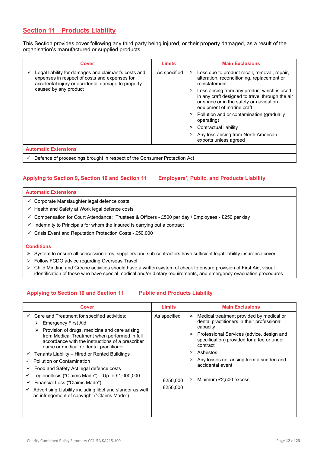# **Section 11 Products Liability**

This Section provides cover following any third party being injured, or their property damaged, as a result of the organisation's manufactured or supplied products.

| <b>Cover</b>                                                                                                                                                                         | Limits       | <b>Main Exclusions</b>                                                                                                                                                                 |
|--------------------------------------------------------------------------------------------------------------------------------------------------------------------------------------|--------------|----------------------------------------------------------------------------------------------------------------------------------------------------------------------------------------|
| Legal liability for damages and claimant's costs and<br>expenses in respect of costs and expenses for<br>accidental injury or accidental damage to property<br>caused by any product | As specified | Loss due to product recall, removal, repair,<br>$\boldsymbol{\mathsf{x}}$<br>alteration, reconditioning, replacement or<br>reinstatement                                               |
|                                                                                                                                                                                      |              | Loss arising from any product which is used<br>$\mathsf{x}$<br>in any craft designed to travel through the air<br>or space or in the safety or navigation<br>equipment of marine craft |
|                                                                                                                                                                                      |              | × Pollution and or contamination (gradually<br>operating)                                                                                                                              |
|                                                                                                                                                                                      |              | Contractual liability<br>x                                                                                                                                                             |
|                                                                                                                                                                                      |              | Any loss arising from North American<br>exports unless agreed                                                                                                                          |
| <b>Automatic Extensions</b>                                                                                                                                                          |              |                                                                                                                                                                                        |

 $\checkmark$  Defence of proceedings brought in respect of the Consumer Protection Act

## **Applying to Section 9, Section 10 and Section 11 Employers', Public, and Products Liability**

#### **Automatic Extensions**

- $\checkmark$  Corporate Manslaughter legal defence costs
- $\checkmark$  Health and Safety at Work legal defence costs
- $\checkmark$  Compensation for Court Attendance: Trustees & Officers £500 per day / Employees £250 per day
- $\checkmark$  Indemnity to Principals for whom the Insured is carrying out a contract
- $\checkmark$  Crisis Event and Reputation Protection Costs £50,000

## **Conditions**

- $\triangleright$  System to ensure all concessionaires, suppliers and sub-contractors have sufficient legal liability insurance cover
- ▶ Follow FCDO advice regarding Overseas Travel
- $\triangleright$  Child Minding and Crèche activities should have a written system of check to ensure provision of First Aid, visual identification of those who have special medical and/or dietary requirements, and emergency evacuation procedures

## **Applying to Section 10 and Section 11 Public and Products Liability**

| <b>Cover</b>                                                                                                                                                                                                                                                                                                                                                                                                                                                                                                                                                                                                                                                                                                        | Limits                               | <b>Main Exclusions</b>                                                                                                                                                                                                                                                                                                                                                                 |
|---------------------------------------------------------------------------------------------------------------------------------------------------------------------------------------------------------------------------------------------------------------------------------------------------------------------------------------------------------------------------------------------------------------------------------------------------------------------------------------------------------------------------------------------------------------------------------------------------------------------------------------------------------------------------------------------------------------------|--------------------------------------|----------------------------------------------------------------------------------------------------------------------------------------------------------------------------------------------------------------------------------------------------------------------------------------------------------------------------------------------------------------------------------------|
| $\checkmark$ Care and Treatment for specified activities:<br>$\triangleright$ Emergency First Aid<br>$\triangleright$ Provision of drugs, medicine and care arising<br>from Medical Treatment when performed in full<br>accordance with the instructions of a prescriber<br>nurse or medical or dental practitioner<br>$\checkmark$ Tenants Liability – Hired or Rented Buildings<br><b>Pollution or Contamination</b><br>$\checkmark$ Food and Safety Act legal defence costs<br>Legionellosis ("Claims Made") – Up to £1,000,000<br>✓<br>Financial Loss ("Claims Made")<br>$\checkmark$<br>$\checkmark$ Advertising Liability including libel and slander as well<br>as infringement of copyright ("Claims Made") | As specified<br>£250,000<br>£250,000 | Medical treatment provided by medical or<br>$\mathsf{x}$<br>dental practitioners in their professional<br>capacity<br>Professional Services (advice, design and<br>×.<br>specification) provided for a fee or under<br>contract<br>Asbestos<br>$\mathsf{x}$<br>Any losses not arising from a sudden and<br>×<br>accidental event<br>Minimum £2,500 excess<br>$\boldsymbol{\mathsf{x}}$ |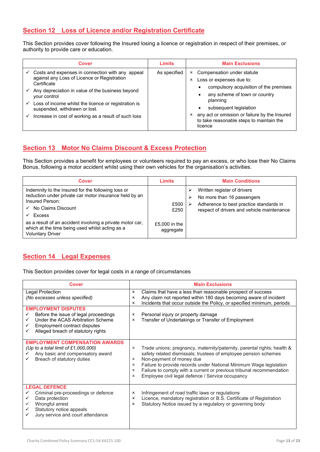# **Section 12 Loss of Licence and/or Registration Certificate**

This Section provides cover following the Insured losing a licence or registration in respect of their premises, or authority to provide care or education.

| <b>Cover</b>                                                                                                                                                                                                                                                                                                                        | <b>Limits</b> | <b>Main Exclusions</b>                                                                                                                                                                                                                                                                                                            |
|-------------------------------------------------------------------------------------------------------------------------------------------------------------------------------------------------------------------------------------------------------------------------------------------------------------------------------------|---------------|-----------------------------------------------------------------------------------------------------------------------------------------------------------------------------------------------------------------------------------------------------------------------------------------------------------------------------------|
| Costs and expenses in connection with any appeal<br>against any Loss of Licence or Registration<br>Certificate<br>Any depreciation in value of the business beyond<br>your control<br>Loss of income whilst the licence or registration is<br>suspended, withdrawn or lost.<br>Increase in cost of working as a result of such loss | As specified  | Compensation under statute<br>$\mathsf{x}$<br>Loss or expenses due to:<br>$\boldsymbol{\mathsf{x}}$<br>compulsory acquisition of the premises<br>٠<br>any scheme of town or country<br>planning<br>subsequent legislation<br>any act or omission or failure by the Insured<br>to take reasonable steps to maintain the<br>licence |

# **Section 13 Motor No Claims Discount & Excess Protection**

This Section provides a benefit for employees or volunteers required to pay an excess, or who lose their No Claims Bonus, following a motor accident whilst using their own vehicles for the organisation's activities.

| <b>Cover</b>                                                                                                                                                                                                                                                                                               | <b>Limits</b>                              | <b>Main Conditions</b>                                                                                                                                       |
|------------------------------------------------------------------------------------------------------------------------------------------------------------------------------------------------------------------------------------------------------------------------------------------------------------|--------------------------------------------|--------------------------------------------------------------------------------------------------------------------------------------------------------------|
| Indemnity to the insured for the following loss or<br>reduction under private car motor insurance held by an<br>Insured Person:<br>No Claims Discount<br>Excess<br>as a result of an accident involving a private motor car,<br>which at the time being used whilst acting as a<br><b>Voluntary Driver</b> | £500<br>£250<br>£5,000 in the<br>aggregate | Written register of drivers<br>No more than 16 passengers<br>⋗<br>Adherence to best practice standards in<br>➤<br>respect of drivers and vehicle maintenance |

## **Section 14 Legal Expenses**

This Section provides cover for legal costs in a range of circumstances

| Cover                                                                                                                                                                                        | <b>Main Exclusions</b>                                                                                                                                                                                                                                                                                                                                                                                   |
|----------------------------------------------------------------------------------------------------------------------------------------------------------------------------------------------|----------------------------------------------------------------------------------------------------------------------------------------------------------------------------------------------------------------------------------------------------------------------------------------------------------------------------------------------------------------------------------------------------------|
| Legal Protection<br>(No excesses unless specified)                                                                                                                                           | Claims that have a less than reasonable prospect of success<br>x<br>Any claim not reported within 180 days becoming aware of incident<br>x<br>Incidents that occur outside the Policy, or specified minimum, periods<br>×                                                                                                                                                                                |
| <b>EMPLOYMENT DISPUTES</b><br>Before the issue of legal proceedings<br>Under the ACAS Arbitration Scheme<br>✓<br>Employment contract disputes<br>Alleged breach of statutory rights<br>✓     | Personal injury or property damage<br>x<br>Transfer of Undertakings or Transfer of Employment<br>x                                                                                                                                                                                                                                                                                                       |
| <b>EMPLOYMENT COMPENSATION AWARDS</b><br>(Up to a total limit of $£1,000,000$ )<br>Any basic and compensatory award<br>Breach of statutory duties                                            | Trade unions; pregnancy, maternity/paternity, parental rights; health &<br>x<br>safety related dismissals; trustees of employee pension schemes<br>Non-payment of money due<br>x<br>Failure to provide records under National Minimum Wage legislation<br>×<br>Failure to comply with a current or previous tribunal recommendation<br>$\times$<br>Employee civil legal defence / Service occupancy<br>x |
| <b>LEGAL DEFENCE</b><br>Criminal pre-proceedings or defence<br>Data protection<br>✓<br>Wrongful arrest<br>$\checkmark$<br>Statutory notice appeals<br>Jury service and court attendance<br>✓ | Infringement of road traffic laws or regulations<br>x<br>Licence, mandatory registration or B.S. Certificate of Registration<br>×<br>Statutory Notice issued by a regulatory or governing body<br>x                                                                                                                                                                                                      |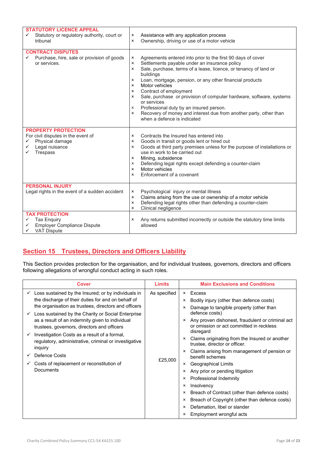| <b>STATUTORY LICENCE APPEAL</b>                                             |                           |                                                                                                           |
|-----------------------------------------------------------------------------|---------------------------|-----------------------------------------------------------------------------------------------------------|
| Statutory or regulatory authority, court or                                 |                           | Assistance with any application process                                                                   |
| tribunal                                                                    | x                         | Ownership, driving or use of a motor vehicle                                                              |
|                                                                             |                           |                                                                                                           |
| <b>CONTRACT DISPUTES</b><br>Purchase, hire, sale or provision of goods<br>✓ | ×                         | Agreements entered into prior to the first 90 days of cover                                               |
| or services.                                                                | x                         | Settlements payable under an insurance policy                                                             |
|                                                                             | ×                         | Sale, purchase, terms of a lease, licence, or tenancy of land or<br>buildings                             |
|                                                                             | x                         | Loan, mortgage, pension, or any other financial products                                                  |
|                                                                             | x                         | Motor vehicles                                                                                            |
|                                                                             | x                         | Contract of employment                                                                                    |
|                                                                             | ×                         | Sale, purchase or provision of computer hardware, software, systems<br>or services                        |
|                                                                             | $\boldsymbol{\mathsf{x}}$ | Professional duty by an insured person.                                                                   |
|                                                                             | x                         | Recovery of money and interest due from another party, other than                                         |
|                                                                             |                           | when a defence is indicated                                                                               |
|                                                                             |                           |                                                                                                           |
| <b>PROPERTY PROTECTION</b>                                                  |                           |                                                                                                           |
| For civil disputes in the event of                                          | ×                         | Contracts the Insured has entered into                                                                    |
| Physical damage<br>✓                                                        | ×                         | Goods in transit or goods lent or hired out                                                               |
| Legal nuisance<br>✓<br>Trespass                                             | x                         | Goods at third party premises unless for the purpose of installations or<br>use in work to be carried out |
|                                                                             | x                         | Mining, subsidence                                                                                        |
|                                                                             | x                         | Defending legal rights except defending a counter-claim                                                   |
|                                                                             | x                         | Motor vehicles                                                                                            |
|                                                                             | x                         | Enforcement of a covenant                                                                                 |
|                                                                             |                           |                                                                                                           |
| <b>PERSONAL INJURY</b>                                                      |                           |                                                                                                           |
| Legal rights in the event of a sudden accident                              | x                         | Psychological injury or mental illness                                                                    |
|                                                                             | x                         | Claims arising from the use or ownership of a motor vehicle                                               |
|                                                                             | x                         | Defending legal rights other than defending a counter-claim                                               |
|                                                                             | $\boldsymbol{\mathsf{x}}$ | Clinical negligence                                                                                       |
| <b>TAX PROTECTION</b>                                                       |                           |                                                                                                           |
| <b>Tax Enquiry</b><br>✓                                                     | x                         | Any returns submitted incorrectly or outside the statutory time limits<br>allowed                         |
| <b>Employer Compliance Dispute</b><br>✓<br><b>VAT Dispute</b><br>✓          |                           |                                                                                                           |
|                                                                             |                           |                                                                                                           |

# **Section 15 Trustees, Directors and Officers Liability**

This Section provides protection for the organisation, and for individual trustees, governors, directors and officers following allegations of wrongful conduct acting in such roles.

| <b>Cover</b>                                                                                                                                                                                                                                                                                                                                                                                                                                                                                                                  |                                   | <b>Main Exclusions and Conditions</b>                                                                                                                                                                                                                                                                                                                                                                                                                                                                                                      |
|-------------------------------------------------------------------------------------------------------------------------------------------------------------------------------------------------------------------------------------------------------------------------------------------------------------------------------------------------------------------------------------------------------------------------------------------------------------------------------------------------------------------------------|-----------------------------------|--------------------------------------------------------------------------------------------------------------------------------------------------------------------------------------------------------------------------------------------------------------------------------------------------------------------------------------------------------------------------------------------------------------------------------------------------------------------------------------------------------------------------------------------|
| $\checkmark$ Loss sustained by the Insured; or by individuals in<br>the discharge of their duties for and on behalf of<br>the organisation as trustees, directors and officers<br>Loss sustained by the Charity or Social Enterprise<br>✓<br>as a result of an indemnity given to individual<br>trustees, governors, directors and officers<br>Investigation Costs as a result of a formal,<br>regulatory, administrative, criminal or investigative<br>inquiry<br>Defence Costs<br>Costs of replacement or reconstitution of | Limits<br>As specified<br>£25,000 | Excess<br>$\mathsf{x}$<br>Bodily injury (other than defence costs)<br>x<br>Damage to tangible property (other than<br>$\mathsf{x}$<br>defence costs)<br>Any proven dishonest, fraudulent or criminal act<br>$\boldsymbol{\mathsf{x}}$<br>or omission or act committed in reckless<br>disregard<br>Claims originating from the Insured or another<br>$\boldsymbol{\mathsf{x}}$<br>trustee, director or officer.<br>Claims arising from management of pension or<br>$\boldsymbol{\mathsf{x}}$<br>benefit schemes<br>Geographical Limits<br>x |
| Documents                                                                                                                                                                                                                                                                                                                                                                                                                                                                                                                     |                                   | Any prior or pending litigation<br>x<br>Professional Indemnity<br>×<br>Insolvency<br>$\boldsymbol{\mathsf{x}}$<br>Breach of Contract (other than defence costs)<br>×<br>Breach of Copyright (other than defence costs)<br>×<br>Defamation, libel or slander<br>$\boldsymbol{\mathsf{x}}$                                                                                                                                                                                                                                                   |
|                                                                                                                                                                                                                                                                                                                                                                                                                                                                                                                               |                                   | Employment wrongful acts                                                                                                                                                                                                                                                                                                                                                                                                                                                                                                                   |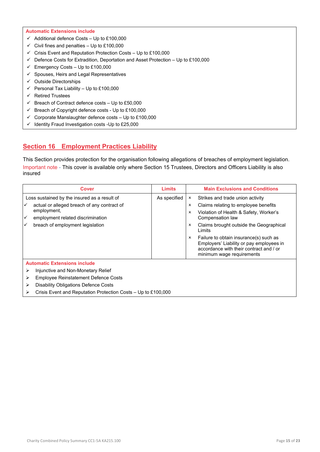#### **Automatic Extensions include**

- $\checkmark$  Additional defence Costs Up to £100,000
- $\checkmark$  Civil fines and penalties Up to £100,000
- $\checkmark$  Crisis Event and Reputation Protection Costs Up to £100,000
- $\checkmark$  Defence Costs for Extradition, Deportation and Asset Protection Up to £100,000
- $\checkmark$  Emergency Costs Up to £100,000
- $\checkmark$  Spouses, Heirs and Legal Representatives
- $\checkmark$  Outside Directorships
- $\checkmark$  Personal Tax Liability Up to £100,000
- $\checkmark$  Retired Trustees
- $\checkmark$  Breach of Contract defence costs Up to £50,000
- $\checkmark$  Breach of Copyright defence costs Up to £100,000
- $\checkmark$  Corporate Manslaughter defence costs Up to £100,000
- $\checkmark$  Identity Fraud Investigation costs -Up to £25,000

## **Section 16 Employment Practices Liability**

This Section provides protection for the organisation following allegations of breaches of employment legislation. Important note - This cover is available only where Section 15 Trustees, Directors and Officers Liability is also insured

| <b>Cover</b>                                                       | Limits       | <b>Main Exclusions and Conditions</b>                                                                                                                           |  |  |
|--------------------------------------------------------------------|--------------|-----------------------------------------------------------------------------------------------------------------------------------------------------------------|--|--|
| Loss sustained by the insured as a result of                       | As specified | Strikes and trade union activity<br>$\boldsymbol{\mathsf{x}}$                                                                                                   |  |  |
| actual or alleged breach of any contract of<br>✓                   |              | Claims relating to employee benefits<br>x                                                                                                                       |  |  |
| employment,                                                        |              | Violation of Health & Safety, Worker's<br>×                                                                                                                     |  |  |
| employment related discrimination<br>✓                             |              | Compensation law                                                                                                                                                |  |  |
| breach of employment legislation<br>✓                              |              | Claims brought outside the Geographical<br>$\mathsf{x}$<br>Limits                                                                                               |  |  |
|                                                                    |              | Failure to obtain insurance(s) such as<br>x<br>Employers' Liability or pay employees in<br>accordance with their contract and / or<br>minimum wage requirements |  |  |
| <b>Automatic Extensions include</b>                                |              |                                                                                                                                                                 |  |  |
| Injunctive and Non-Monetary Relief<br>➤                            |              |                                                                                                                                                                 |  |  |
| <b>Employee Reinstatement Defence Costs</b><br>➤                   |              |                                                                                                                                                                 |  |  |
| <b>Disability Obligations Defence Costs</b><br>⋗                   |              |                                                                                                                                                                 |  |  |
| Crisis Event and Reputation Protection Costs - Up to £100,000<br>⋗ |              |                                                                                                                                                                 |  |  |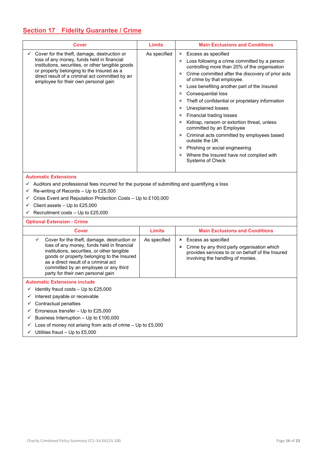# **Section 17 Fidelity Guarantee / Crime**

| Cover                                                                                                                                                                                                                                                                                                                                         | <b>Limits</b> | <b>Main Exclusions and Conditions</b>                                                                                                                                                                                                                                                                                                                                                                                                                                                                                                                                                                                                                                                                                          |  |
|-----------------------------------------------------------------------------------------------------------------------------------------------------------------------------------------------------------------------------------------------------------------------------------------------------------------------------------------------|---------------|--------------------------------------------------------------------------------------------------------------------------------------------------------------------------------------------------------------------------------------------------------------------------------------------------------------------------------------------------------------------------------------------------------------------------------------------------------------------------------------------------------------------------------------------------------------------------------------------------------------------------------------------------------------------------------------------------------------------------------|--|
| Cover for the theft, damage, destruction or<br>$\checkmark$<br>loss of any money, funds held in financial<br>institutions, securities, or other tangible goods<br>or property belonging to the Insured as a<br>direct result of a criminal act committed by an<br>employee for their own personal gain                                        | As specified  | <b>x</b> Excess as specified<br>x Loss following a crime committed by a person<br>controlling more than 20% of the organisation<br>x Crime committed after the discovery of prior acts<br>of crime by that employee.<br>Loss benefiting another part of the Insured<br>$\mathsf{x}$<br>Consequential loss<br>×<br>Theft of confidential or proprietary information<br>×<br><b>Unexplained losses</b><br>x<br><b>Financial trading losses</b><br>$\mathsf{x}$<br>Kidnap, ransom or extortion threat, unless<br>$\mathsf{x}$<br>committed by an Employee<br>x Criminal acts committed by employees based<br>outside the UK<br>× Phishing or social engineering<br>x Where the Insured have not complied with<br>Systems of Check |  |
| <b>Automatic Extensions</b><br>$\checkmark$ Auditors and professional fees incurred for the purpose of submitting and quantifying a loss<br>Re-writing of Records - Up to £25,000<br>✓<br>Crisis Event and Reputation Protection Costs - Up to £100,000<br>Client assets - Up to £25,000<br>✓<br>Recruitment costs - Up to £25,000            |               |                                                                                                                                                                                                                                                                                                                                                                                                                                                                                                                                                                                                                                                                                                                                |  |
| <b>Optional Extension - Crime</b>                                                                                                                                                                                                                                                                                                             |               |                                                                                                                                                                                                                                                                                                                                                                                                                                                                                                                                                                                                                                                                                                                                |  |
| <b>Cover</b>                                                                                                                                                                                                                                                                                                                                  | <b>Limits</b> | <b>Main Exclusions and Conditions</b>                                                                                                                                                                                                                                                                                                                                                                                                                                                                                                                                                                                                                                                                                          |  |
| Cover for the theft, damage, destruction or<br>$\checkmark$<br>loss of any money, funds held in financial<br>institutions, securities, or other tangible<br>goods or property belonging to the Insured<br>as a direct result of a criminal act<br>committed by an employee or any third<br>party for their own personal gain                  | As specified  | Excess as specified<br>×<br>Crime by any third party organisation which<br>×<br>provides services to or on behalf of the Insured<br>involving the handling of monies.                                                                                                                                                                                                                                                                                                                                                                                                                                                                                                                                                          |  |
| <b>Automatic Extensions include</b><br>Identity fraud costs - Up to £25,000<br>✓<br>Interest payable or receivable<br>✓<br>Contractual penalties<br>Erroneous transfer - Up to £25,000<br>Business Interruption - Up to £100,000<br>✓<br>Loss of money not arising from acts of crime $-$ Up to £5,000<br>✓<br>Utilities fraud - Up to £5,000 |               |                                                                                                                                                                                                                                                                                                                                                                                                                                                                                                                                                                                                                                                                                                                                |  |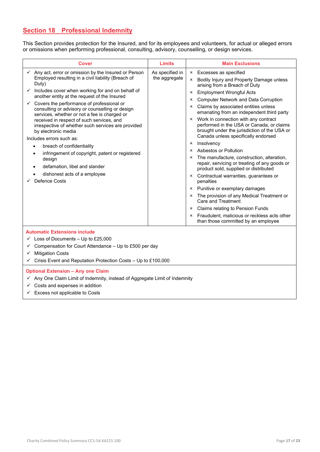# **Section 18 Professional Indemnity**

This Section provides protection for the Insured, and for its employees and volunteers, for actual or alleged errors or omissions when performing professional, consulting, advisory, counselling, or design services.

| <b>Cover</b>                                                                                                           | <b>Limits</b>                                                                                                                                                                                                                                        | <b>Main Exclusions</b>                                                                    |  |                                                                                                                                        |
|------------------------------------------------------------------------------------------------------------------------|------------------------------------------------------------------------------------------------------------------------------------------------------------------------------------------------------------------------------------------------------|-------------------------------------------------------------------------------------------|--|----------------------------------------------------------------------------------------------------------------------------------------|
| Any act, error or omission by the Insured or Person                                                                    | As specified in                                                                                                                                                                                                                                      | Excesses as specified<br>$\mathsf{x}$                                                     |  |                                                                                                                                        |
| Employed resulting in a civil liability (Breach of<br>Duty)                                                            | the aggregate                                                                                                                                                                                                                                        | Bodily Injury and Property Damage unless<br>$\mathsf{x}$<br>arising from a Breach of Duty |  |                                                                                                                                        |
| Includes cover when working for and on behalf of                                                                       |                                                                                                                                                                                                                                                      | <b>Employment Wrongful Acts</b><br>×                                                      |  |                                                                                                                                        |
| another entity at the request of the Insured                                                                           |                                                                                                                                                                                                                                                      | <b>Computer Network and Data Corruption</b><br>×                                          |  |                                                                                                                                        |
| consulting or advisory or counselling or design                                                                        | Covers the performance of professional or<br>services, whether or not a fee is charged or<br>breach of confidentiality<br>infringement of copyright, patent or registered<br>design<br>defamation, libel and slander<br>dishonest acts of a employee | Claims by associated entities unless<br>×<br>emanating from an independent third party    |  |                                                                                                                                        |
| received in respect of such services, and<br>irrespective of whether such services are provided<br>by electronic media |                                                                                                                                                                                                                                                      |                                                                                           |  | Work in connection with any contract<br>×<br>performed in the USA or Canada, or claims<br>brought under the jurisdiction of the USA or |
| Includes errors such as:                                                                                               |                                                                                                                                                                                                                                                      | Canada unless specifically endorsed                                                       |  |                                                                                                                                        |
|                                                                                                                        |                                                                                                                                                                                                                                                      | Insolvency<br>×                                                                           |  |                                                                                                                                        |
|                                                                                                                        |                                                                                                                                                                                                                                                      | Asbestos or Pollution<br>×                                                                |  |                                                                                                                                        |
|                                                                                                                        |                                                                                                                                                                                                                                                      | The manufacture, construction, alteration,<br>×                                           |  |                                                                                                                                        |
|                                                                                                                        |                                                                                                                                                                                                                                                      | repair, servicing or treating of any goods or<br>product sold, supplied or distributed    |  |                                                                                                                                        |
|                                                                                                                        |                                                                                                                                                                                                                                                      | Contractual warranties, guarantees or<br>x                                                |  |                                                                                                                                        |
| Defence Costs                                                                                                          |                                                                                                                                                                                                                                                      | penalties                                                                                 |  |                                                                                                                                        |
|                                                                                                                        |                                                                                                                                                                                                                                                      | Punitive or exemplary damages<br>×                                                        |  |                                                                                                                                        |
|                                                                                                                        |                                                                                                                                                                                                                                                      | The provision of any Medical Treatment or<br>×<br>Care and Treatment                      |  |                                                                                                                                        |
|                                                                                                                        |                                                                                                                                                                                                                                                      | Claims relating to Pension Funds<br>×                                                     |  |                                                                                                                                        |
|                                                                                                                        |                                                                                                                                                                                                                                                      | Fraudulent, malicious or reckless acts other<br>×<br>than those committed by an employee  |  |                                                                                                                                        |

## **Automatic Extensions include**

- $\checkmark$  Loss of Documents Up to £25,000
- $\checkmark$  Compensation for Court Attendance Up to £500 per day
- $\checkmark$  Mitigation Costs
- $\checkmark$  Crisis Event and Reputation Protection Costs Up to £100,000

#### **Optional Extension – Any one Claim**

- $\checkmark$  Any One Claim Limit of Indemnity, instead of Aggregate Limit of Indemnity
- $\checkmark$  Costs and expenses in addition
- $\checkmark$  Excess not applicable to Costs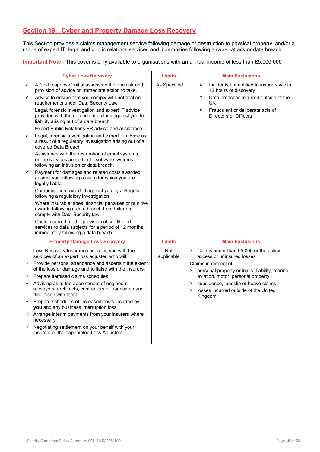## **Section 19 Cyber and Property Damage Loss Recovery**

This Section provides a claims management service following damage or destruction to physical property, and/or a range of expert IT, legal and public relations services and indemnities following a cyber-attack or data breach.

**Important Note** - This cover is only available to organisations with an annual income of less than £5,000,000

|   | <b>Cyber Loss Recovery</b>                                                                                                                           | <b>Limits</b>     | <b>Main Exclusions</b>                                                                                                   |
|---|------------------------------------------------------------------------------------------------------------------------------------------------------|-------------------|--------------------------------------------------------------------------------------------------------------------------|
| ✓ | A "first response" initial assessment of the risk and<br>provision of advice on immediate action to take.                                            | As Specified      | Incidents not notified to insurers within<br>×<br>12 hours of discovery                                                  |
| ✓ | Advice to ensure that you comply with notification<br>requirements under Data Security Law                                                           |                   | Data breaches incurred outside of the<br>×<br>UK.                                                                        |
|   | Legal, forensic investigation and expert IT advice<br>provided with the defence of a claim against you for<br>liability arising out of a data breach |                   | Fraudulent or deliberate acts of<br>x<br>Directors or Officers                                                           |
|   | Expert Public Relations PR advice and assistance                                                                                                     |                   |                                                                                                                          |
| ✓ | Legal, forensic investigation and expert IT advice as<br>a result of a regulatory investigation arising out of a<br>covered Data Breach              |                   |                                                                                                                          |
|   | Assistance with the restoration of email systems,<br>online services and other IT software systems<br>following an intrusion or data breach.         |                   |                                                                                                                          |
| ✓ | Payment for damages and related costs awarded<br>against you following a claim for which you are<br>legally liable                                   |                   |                                                                                                                          |
|   | Compensation awarded against you by a Regulator<br>following a regulatory investigation                                                              |                   |                                                                                                                          |
|   | Where insurable, fines, financial penalties or punitive<br>awards following a data breach from failure to<br>comply with Data Security law;          |                   |                                                                                                                          |
|   | Costs incurred for the provision of credit alert<br>services to data subjects for a period of 12 months<br>immediately following a data breach.      |                   |                                                                                                                          |
|   | <b>Property Damage Loss Recovery</b>                                                                                                                 | <b>Limits</b>     | <b>Main Exclusions</b>                                                                                                   |
|   | Loss Recovery Insurance provides you with the<br>services of an expert loss adjuster, who will:                                                      | Not<br>applicable | x Claims under than £5,000 or the policy<br>excess or uninsured losses                                                   |
|   | $\checkmark$ Provide personal attendance and ascertain the extent<br>of the loss or damage and to liaise with the insurers;                          |                   | Claims in respect of<br>x personal property or injury, liability, marine,                                                |
|   | $\checkmark$ Prepare itemised claims schedules                                                                                                       |                   | aviation, motor, personal property                                                                                       |
|   | $\checkmark$ Advising as to the appointment of engineers,<br>surveyors, architects, contractors or tradesmen and<br>the liaison with them            |                   | subsidence, landslip or heave claims<br>$\mathsf{x}$<br>losses incurred outside of the United<br>$\mathsf{x}$<br>Kingdom |
|   | $\checkmark$ Prepare schedules of increased costs incurred by<br>you and any business interruption loss                                              |                   |                                                                                                                          |
|   | $\checkmark$ Arrange interim payments from your insurers where<br>necessary;                                                                         |                   |                                                                                                                          |
|   | $\checkmark$ Negotiating settlement on your behalf with your<br>insurers or their appointed Loss Adjusters                                           |                   |                                                                                                                          |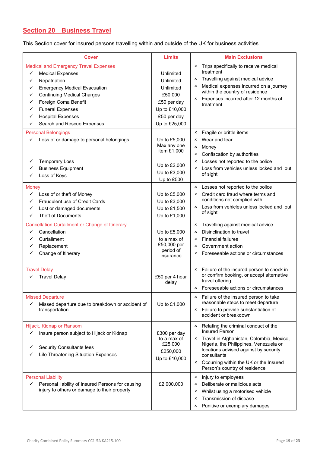# **Section 20 Business Travel**

This Section cover for insured persons travelling within and outside of the UK for business activities

| Cover                                                                                                                                                                                                                                                                                                                    | <b>Limits</b>                                                                                                  | <b>Main Exclusions</b>                                                                                                                                                                                                                                                                                                                  |
|--------------------------------------------------------------------------------------------------------------------------------------------------------------------------------------------------------------------------------------------------------------------------------------------------------------------------|----------------------------------------------------------------------------------------------------------------|-----------------------------------------------------------------------------------------------------------------------------------------------------------------------------------------------------------------------------------------------------------------------------------------------------------------------------------------|
| <b>Medical and Emergency Travel Expenses</b><br>✓<br><b>Medical Expenses</b><br>Repatriation<br>✓<br><b>Emergency Medical Evacuation</b><br>✓<br><b>Continuing Medical Charges</b><br>✓<br>Foreign Coma Benefit<br>✓<br><b>Funeral Expenses</b><br>✓<br><b>Hospital Expenses</b><br>✓<br>Search and Rescue Expenses<br>✓ | Unlimited<br>Unlimited<br>Unlimited<br>£50,000<br>£50 per day<br>Up to £10,000<br>£50 per day<br>Up to £25,000 | x Trips specifically to receive medical<br>treatment<br>x Travelling against medical advice<br>Medical expenses incurred on a journey<br>×<br>within the country of residence<br>Expenses incurred after 12 months of<br>×<br>treatment                                                                                                 |
| <b>Personal Belongings</b><br>Loss of or damage to personal belongings<br>✓<br><b>Temporary Loss</b><br>✓<br><b>Business Equipment</b><br>✓<br>Loss of Keys<br>✓                                                                                                                                                         | Up to £5,000<br>Max any one<br>item £1,000<br>Up to £2,000<br>Up to £3,000<br>Up to £500                       | Fragile or brittle items<br>×<br>Wear and tear<br>x<br>Money<br>×<br>Confiscation by authorities<br>×<br>Losses not reported to the police<br>×<br>Loss from vehicles unless locked and out<br>$\boldsymbol{\mathsf{x}}$<br>of sight                                                                                                    |
| Money<br>✓<br>Loss of or theft of Money<br><b>Fraudulent use of Credit Cards</b><br>✓<br>✓<br>Lost or damaged documents<br><b>Theft of Documents</b><br>✓<br><b>Cancellation Curtailment or Change of Itinerary</b><br>Cancellation<br>✓<br>Curtailment<br>✓<br>Replacement<br>✓                                         | Up to £5,000<br>Up to £3,000<br>Up to £1,500<br>Up to £1,000<br>Up to £5,000<br>to a max of<br>£50,000 per     | Losses not reported to the police<br>$\mathsf{x}$<br>Credit card fraud where terms and<br>$\mathsf{x}$<br>conditions not complied with<br>x Loss from vehicles unless locked and out<br>of sight<br>Travelling against medical advice<br>x<br>Disinclination to travel<br>x<br><b>Financial failures</b><br>x<br>Government action<br>x |
| Change of Itinerary<br>✓<br><b>Travel Delay</b><br><b>Travel Delay</b>                                                                                                                                                                                                                                                   | period of<br>insurance<br>£50 per 4 hour<br>delay                                                              | Foreseeable actions or circumstances<br>×<br>x Failure of the insured person to check in<br>or confirm booking, or accept alternative<br>travel offering<br><b>×</b> Foreseeable actions or circumstances                                                                                                                               |
| <b>Missed Departure</b><br>✓<br>Missed departure due to breakdown or accident of<br>transportation                                                                                                                                                                                                                       | Up to £1,000                                                                                                   | <b>x</b> Failure of the insured person to take<br>reasonable steps to meet departure<br>x Failure to provide substantiation of<br>accident or breakdown                                                                                                                                                                                 |
| Hijack, Kidnap or Ransom<br>Insure person subject to Hijack or Kidnap<br>✓<br><b>Security Consultants fees</b><br>✓<br>Life Threatening Situation Expenses<br>✓                                                                                                                                                          | £300 per day<br>to a max of<br>£25,000<br>£250,000<br>Up to £10,000                                            | Relating the criminal conduct of the<br>×<br>Insured Person<br>x Travel in Afghanistan, Colombia, Mexico,<br>Nigeria, the Philippines, Venezuela or<br>locations advised against by security<br>consultants<br>× Occurring within the UK or the Insured<br>Person's country of residence                                                |
| <b>Personal Liability</b><br>Personal liability of Insured Persons for causing<br>✓<br>injury to others or damage to their property                                                                                                                                                                                      | £2,000,000                                                                                                     | Injury to employees<br>×<br>Deliberate or malicious acts<br>×<br>Whilst using a motorised vehicle<br>x<br>Transmission of disease<br>x<br>Punitive or exemplary damages<br>×                                                                                                                                                            |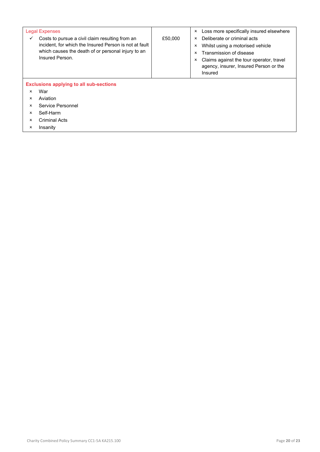|              | <b>Legal Expenses</b><br>Costs to pursue a civil claim resulting from an<br>incident, for which the Insured Person is not at fault<br>which causes the death of or personal injury to an<br>Insured Person. | £50,000 | $\boldsymbol{\mathsf{x}}$<br>$\mathsf{x}$<br>x<br>×<br>x | Loss more specifically insured elsewhere<br>Deliberate or criminal acts<br>Whilst using a motorised vehicle<br>Transmission of disease<br>Claims against the tour operator, travel<br>agency, insurer, Insured Person or the<br>Insured |
|--------------|-------------------------------------------------------------------------------------------------------------------------------------------------------------------------------------------------------------|---------|----------------------------------------------------------|-----------------------------------------------------------------------------------------------------------------------------------------------------------------------------------------------------------------------------------------|
|              | <b>Exclusions applying to all sub-sections</b>                                                                                                                                                              |         |                                                          |                                                                                                                                                                                                                                         |
| ×            | War                                                                                                                                                                                                         |         |                                                          |                                                                                                                                                                                                                                         |
| x            | Aviation                                                                                                                                                                                                    |         |                                                          |                                                                                                                                                                                                                                         |
| x            | Service Personnel                                                                                                                                                                                           |         |                                                          |                                                                                                                                                                                                                                         |
| $\mathsf{x}$ | Self-Harm                                                                                                                                                                                                   |         |                                                          |                                                                                                                                                                                                                                         |
| x            | Criminal Acts                                                                                                                                                                                               |         |                                                          |                                                                                                                                                                                                                                         |
| x            | Insanity                                                                                                                                                                                                    |         |                                                          |                                                                                                                                                                                                                                         |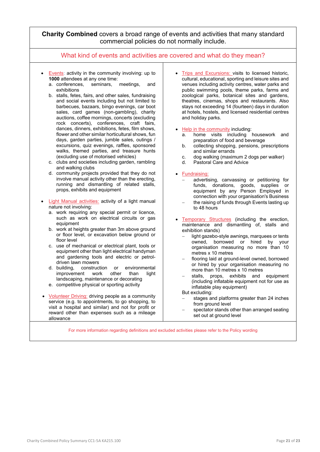## **Charity Combined** covers a broad range of events and activities that many standard commercial policies do not normally include.

## What kind of events and activities are covered and what do they mean?

- Events: activity in the community involving: up to **1000** attendees at any one time:<br>a. conferences, seminars, meetings,
	- a. conferences, seminars, meetings, and exhibitions
	- b. stalls, fetes, fairs, and other sales, fundraising and social events including but not limited to barbecues, bazaars, bingo evenings, car boot sales, card games (non-gambling), charity auctions, coffee mornings, concerts (excluding rock concerts), conferences, craft fairs, dances, dinners, exhibitions, fetes, film shows, flower and other similar horticultural shows, fun days, garden parties, jumble sales, outings / excursions, quiz evenings, raffles, sponsored walks, themed parties, and treasure hunts (excluding use of motorised vehicles)
	- c. clubs and societies including garden, rambling and walking clubs
	- d. community projects provided that they do not involve manual activity other than the erecting, running and dismantling of related stalls, props, exhibits and equipment
- **[Light Manual](http://caseselect.taliscontest.co.uk/appendixA.html#light) activities:** activity of a light manual nature not involving:
	- a. work requiring any special permit or licence, such as work on electrical circuits or gas equipment
	- b. work at heights greater than 3m above ground or floor level, or excavation below ground or floor level
	- c. use of mechanical or electrical plant, tools or equipment other than light electrical handyman and gardening tools and electric or petroldriven lawn mowers<br>d. building, construc
	- construction or environmental improvement work other than light landscaping, maintenance or decorating
	- e. competitive physical or sporting activity
- Volunteer Driving: driving people as a community service (e.g. to appointments, to go shopping, to visit a hospital and similar) and not for profit or reward other than expenses such as a mileage allowance
- Trips and Excursions: visits to licensed historic, cultural, educational, sporting and leisure sites and venues including activity centres, water parks and public swimming pools, theme parks, farms and zoological parks, botanical sites and gardens, theatres, cinemas, shops and restaurants. Also stays not exceeding 14 (fourteen) days in duration at hotels, hostels, and licensed residential centres and holiday parks.
- Help in the community including:
	- a. home visits including housework and preparation of food and beverage
	- b. collecting shopping, pensions, prescriptions and similar errands
	- c. dog walking (maximum 2 dogs per walker)
	- Pastoral Care and Advice
- Fundraising:
	- − advertising, canvassing or petitioning for funds, donations, goods, supplies or equipment by any Person Employed in connection with your organisation's Business
	- the raising of funds through Events lasting up to 48 hours
- Temporary Structures (including the erection, maintenance and dismantling of, stalls and exhibition stands)
	- light gazebo-style awnings, marquees or tents owned, borrowed or hired by your organisation measuring no more than 10 metres x 10 metres
	- flooring laid at ground-level owned, borrowed or hired by your organisation measuring no more than 10 metres x 10 metres
	- stalls, props, exhibits and equipment (including inflatable equipment not for use as inflatable play equipment)
	- But excluding:
	- stages and platforms greater than 24 inches from ground level
	- spectator stands other than arranged seating set out at ground level

For more information regarding definitions and excluded activities please refer to the Policy wording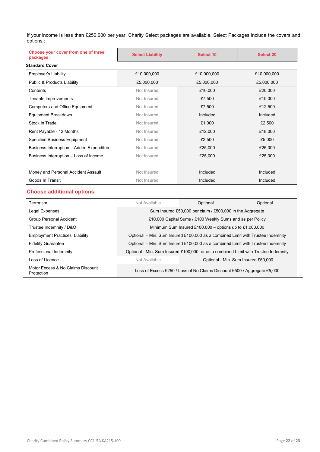If your income is less than £250,000 per year, Charity Select packages are available. Select Packages include the covers and options :

| Choose your cover from one of three<br>packages: | <b>Select Liability</b> | Select 10          | Select 20   |
|--------------------------------------------------|-------------------------|--------------------|-------------|
| <b>Standard Cover</b>                            |                         |                    |             |
| Employer's Liability                             | £10,000,000             | £10,000,000        | £10,000,000 |
| <b>Public &amp; Products Liability</b>           | £5,000,000              | £5,000,000         | £5,000,000  |
| Contents                                         | Not Insured             | £10,000            | £20,000     |
| Tenants Improvements                             | Not Insured             | £7,500             | £10,000     |
| <b>Computers and Office Equipment</b>            | Not Insured             | £7,500             | £12,500     |
| Equipment Breakdown                              | Not Insured             | Included           | Included    |
| Stock in Trade                                   | Not Insured             | £1,000             | £2,500      |
| Rent Payable - 12 Months                         | Not Insured             | £12,000            | £18,000     |
| <b>Specified Business Equipment</b>              | Not Insured             | £2,500             | £5,000      |
| Business Interruption - Added Expenditure        | Not Insured             | £25,000            | £25,000     |
| Business Interruption - Loss of Income           | Not Insured             | £25,000<br>£25,000 |             |
|                                                  |                         |                    |             |
| Money and Personal Accident Assault              | Not Insured             | Included           | Included    |
| Goods In Transit                                 | Not Insured             | Included           | Included    |

## **Choose additional options**

| Terrorism                                       | Not Available                                                                       | Optional | Optional                            |
|-------------------------------------------------|-------------------------------------------------------------------------------------|----------|-------------------------------------|
| Legal Expenses                                  | Sum Insured £50,000 per claim / £500,000 in the Aggregate                           |          |                                     |
| Group Personal Accident                         | £10,000 Capital Sums / £100 Weekly Sums and as per Policy                           |          |                                     |
| Trustee Indemnity / D&O                         | Minimum Sum Insured £100,000 – options up to £1,000,000                             |          |                                     |
| <b>Employment Practices Liability</b>           | Optional – Min. Sum Insured £100,000 as a combined Limit with Trustee Indemnity     |          |                                     |
| <b>Fidelity Guarantee</b>                       | Optional – Min. Sum Insured £100,000 as a combined Limit with Trustee Indemnity     |          |                                     |
| Professional Indemnity                          | Optional - Min. Sum Insured £100,000, or as a combined Limit with Trustee Indemnity |          |                                     |
| Loss of Licence                                 | Not Available                                                                       |          | Optional - Min. Sum Insured £50,000 |
| Motor Excess & No Claims Discount<br>Protection | Loss of Excess £250 / Loss of No Claims Discount £500 / Aggregate £5,000            |          |                                     |